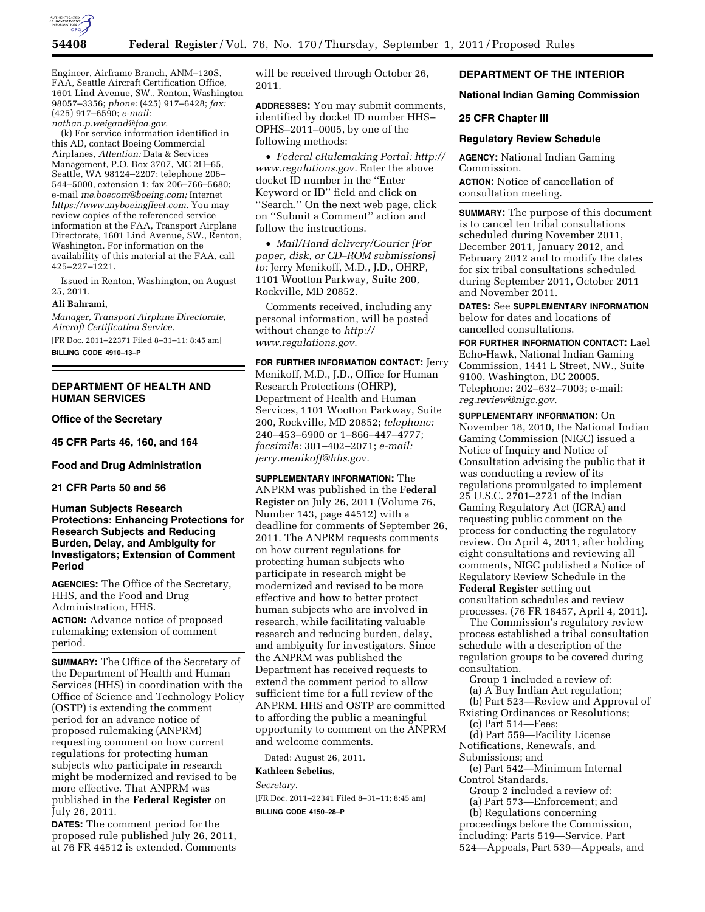

Engineer, Airframe Branch, ANM–120S, FAA, Seattle Aircraft Certification Office, 1601 Lind Avenue, SW., Renton, Washington 98057–3356; *phone:* (425) 917–6428; *fax:*  (425) 917–6590; *e-mail: [nathan.p.weigand@faa.gov.](mailto:nathan.p.weigand@faa.gov)* 

(k) For service information identified in this AD, contact Boeing Commercial Airplanes, *Attention:* Data & Services Management, P.O. Box 3707, MC 2H–65, Seattle, WA 98124–2207; telephone 206– 544–5000, extension 1; fax 206–766–5680; e-mail *[me.boecom@boeing.com;](mailto:me.boecom@boeing.com)* Internet *[https://www.myboeingfleet.com.](https://www.myboeingfleet.com)* You may review copies of the referenced service information at the FAA, Transport Airplane Directorate, 1601 Lind Avenue, SW., Renton, Washington. For information on the availability of this material at the FAA, call 425–227–1221.

Issued in Renton, Washington, on August 25, 2011.

### **Ali Bahrami,**

*Manager, Transport Airplane Directorate, Aircraft Certification Service.* 

[FR Doc. 2011–22371 Filed 8–31–11; 8:45 am] **BILLING CODE 4910–13–P** 

### **DEPARTMENT OF HEALTH AND HUMAN SERVICES**

**Office of the Secretary** 

**45 CFR Parts 46, 160, and 164** 

**Food and Drug Administration** 

**21 CFR Parts 50 and 56** 

**Human Subjects Research Protections: Enhancing Protections for Research Subjects and Reducing Burden, Delay, and Ambiguity for Investigators; Extension of Comment Period** 

**AGENCIES:** The Office of the Secretary, HHS, and the Food and Drug Administration, HHS. **ACTION:** Advance notice of proposed

rulemaking; extension of comment period.

**SUMMARY:** The Office of the Secretary of the Department of Health and Human Services (HHS) in coordination with the Office of Science and Technology Policy (OSTP) is extending the comment period for an advance notice of proposed rulemaking (ANPRM) requesting comment on how current regulations for protecting human subjects who participate in research might be modernized and revised to be more effective. That ANPRM was published in the **Federal Register** on July 26, 2011.

**DATES:** The comment period for the proposed rule published July 26, 2011, at 76 FR 44512 is extended. Comments will be received through October 26, 2011.

**ADDRESSES:** You may submit comments, identified by docket ID number HHS– OPHS–2011–0005, by one of the following methods:

• *Federal eRulemaking Portal: [http://](http://www.regulations.gov)  [www.regulations.gov.](http://www.regulations.gov)* Enter the above docket ID number in the ''Enter Keyword or ID'' field and click on ''Search.'' On the next web page, click on ''Submit a Comment'' action and follow the instructions.

• *Mail/Hand delivery/Courier [For paper, disk, or CD–ROM submissions] to:* Jerry Menikoff, M.D., J.D., OHRP, 1101 Wootton Parkway, Suite 200, Rockville, MD 20852.

Comments received, including any personal information, will be posted without change to *[http://](http://www.regulations.gov) [www.regulations.gov.](http://www.regulations.gov)* 

**FOR FURTHER INFORMATION CONTACT:** Jerry Menikoff, M.D., J.D., Office for Human Research Protections (OHRP), Department of Health and Human Services, 1101 Wootton Parkway, Suite 200, Rockville, MD 20852; *telephone:*  240–453–6900 or 1–866–447–4777; *facsimile:* 301–402–2071; *e-mail: [jerry.menikoff@hhs.gov.](mailto:jerry.menikoff@hhs.gov)* 

**SUPPLEMENTARY INFORMATION:** The ANPRM was published in the **Federal Register** on July 26, 2011 (Volume 76, Number 143, page 44512) with a deadline for comments of September 26, 2011. The ANPRM requests comments on how current regulations for protecting human subjects who participate in research might be modernized and revised to be more effective and how to better protect human subjects who are involved in research, while facilitating valuable research and reducing burden, delay, and ambiguity for investigators. Since the ANPRM was published the Department has received requests to extend the comment period to allow sufficient time for a full review of the ANPRM. HHS and OSTP are committed to affording the public a meaningful opportunity to comment on the ANPRM and welcome comments.

Dated: August 26, 2011.

## **Kathleen Sebelius,**

*Secretary.* 

[FR Doc. 2011–22341 Filed 8–31–11; 8:45 am] **BILLING CODE 4150–28–P** 

# **DEPARTMENT OF THE INTERIOR**

### **National Indian Gaming Commission**

#### **25 CFR Chapter III**

#### **Regulatory Review Schedule**

**AGENCY:** National Indian Gaming Commission. **ACTION:** Notice of cancellation of consultation meeting.

**SUMMARY:** The purpose of this document is to cancel ten tribal consultations scheduled during November 2011, December 2011, January 2012, and February 2012 and to modify the dates for six tribal consultations scheduled during September 2011, October 2011 and November 2011.

**DATES:** See **SUPPLEMENTARY INFORMATION** below for dates and locations of cancelled consultations.

**FOR FURTHER INFORMATION CONTACT:** Lael Echo-Hawk, National Indian Gaming Commission, 1441 L Street, NW., Suite 9100, Washington, DC 20005. Telephone: 202–632–7003; e-mail: *[reg.review@nigc.gov.](mailto:reg.review@nigc.gov)* 

**SUPPLEMENTARY INFORMATION:** On November 18, 2010, the National Indian Gaming Commission (NIGC) issued a Notice of Inquiry and Notice of Consultation advising the public that it was conducting a review of its regulations promulgated to implement 25 U.S.C. 2701–2721 of the Indian Gaming Regulatory Act (IGRA) and requesting public comment on the process for conducting the regulatory review. On April 4, 2011, after holding eight consultations and reviewing all comments, NIGC published a Notice of Regulatory Review Schedule in the **Federal Register** setting out consultation schedules and review processes. (76 FR 18457, April 4, 2011).

The Commission's regulatory review process established a tribal consultation schedule with a description of the regulation groups to be covered during consultation.

Group 1 included a review of:

(a) A Buy Indian Act regulation;

(b) Part 523—Review and Approval of Existing Ordinances or Resolutions;

(c) Part 514—Fees;

(d) Part 559—Facility License Notifications, Renewals, and Submissions; and

(e) Part 542—Minimum Internal Control Standards.

Group 2 included a review of:

(a) Part 573—Enforcement; and

(b) Regulations concerning proceedings before the Commission, including: Parts 519—Service, Part 524—Appeals, Part 539—Appeals, and